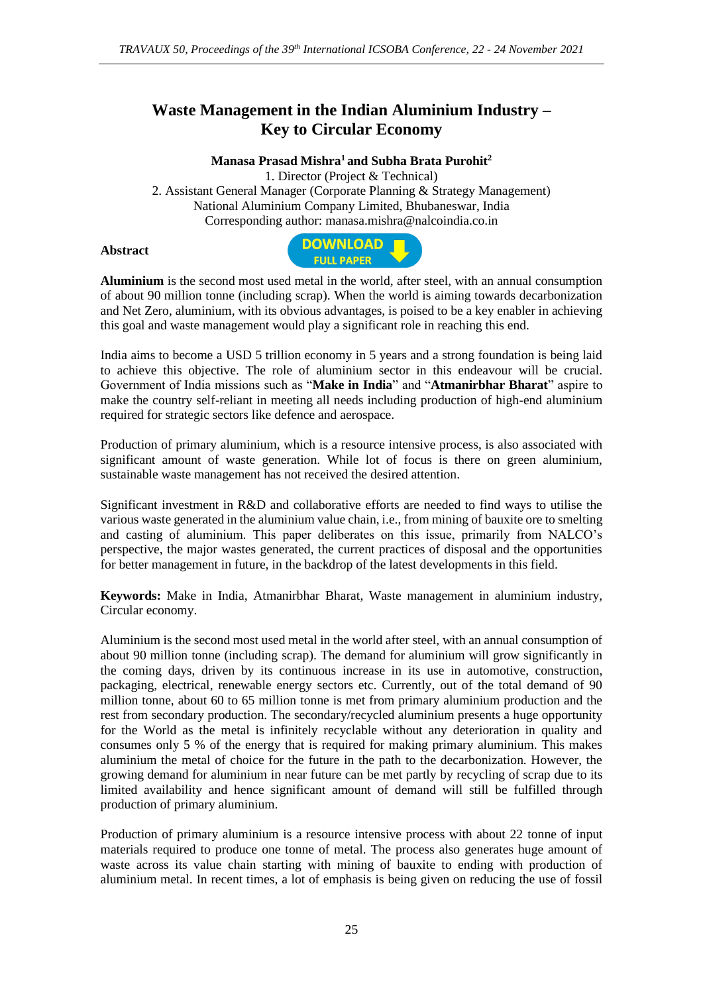# **Waste Management in the Indian Aluminium Industry – Key to Circular Economy**

### **Manasa Prasad Mishra<sup>1</sup> and Subha Brata Purohit<sup>2</sup>**

1. Director (Project & Technical) 2. Assistant General Manager (Corporate Planning & Strategy Management) National Aluminium Company Limited, Bhubaneswar, India Corresponding author: manasa.mishra@nalcoindia.co.in

#### **Abstract**



**Aluminium** is the second most used metal in the world, after steel, with an annual consumption of about 90 million tonne (including scrap). When the world is aiming towards decarbonization and Net Zero, aluminium, with its obvious advantages, is poised to be a key enabler in achieving this goal and waste management would play a significant role in reaching this end.

India aims to become a USD 5 trillion economy in 5 years and a strong foundation is being laid to achieve this objective. The role of aluminium sector in this endeavour will be crucial. Government of India missions such as "**Make in India**" and "**Atmanirbhar Bharat**" aspire to make the country self-reliant in meeting all needs including production of high-end aluminium required for strategic sectors like defence and aerospace.

Production of primary aluminium, which is a resource intensive process, is also associated with significant amount of waste generation. While lot of focus is there on green aluminium, sustainable waste management has not received the desired attention.

Significant investment in R&D and collaborative efforts are needed to find ways to utilise the various waste generated in the aluminium value chain, i.e., from mining of bauxite ore to smelting and casting of aluminium. This paper deliberates on this issue, primarily from NALCO's perspective, the major wastes generated, the current practices of disposal and the opportunities for better management in future, in the backdrop of the latest developments in this field.

**Keywords:** Make in India, Atmanirbhar Bharat, Waste management in aluminium industry, Circular economy.

Aluminium is the second most used metal in the world after steel, with an annual consumption of about 90 million tonne (including scrap). The demand for aluminium will grow significantly in the coming days, driven by its continuous increase in its use in automotive, construction, packaging, electrical, renewable energy sectors etc. Currently, out of the total demand of 90 million tonne, about 60 to 65 million tonne is met from primary aluminium production and the rest from secondary production. The secondary/recycled aluminium presents a huge opportunity for the World as the metal is infinitely recyclable without any deterioration in quality and consumes only 5 % of the energy that is required for making primary aluminium. This makes aluminium the metal of choice for the future in the path to the decarbonization. However, the growing demand for aluminium in near future can be met partly by recycling of scrap due to its limited availability and hence significant amount of demand will still be fulfilled through production of primary aluminium.

Production of primary aluminium is a resource intensive process with about 22 tonne of input materials required to produce one tonne of metal. The process also generates huge amount of waste across its value chain starting with mining of bauxite to ending with production of aluminium metal. In recent times, a lot of emphasis is being given on reducing the use of fossil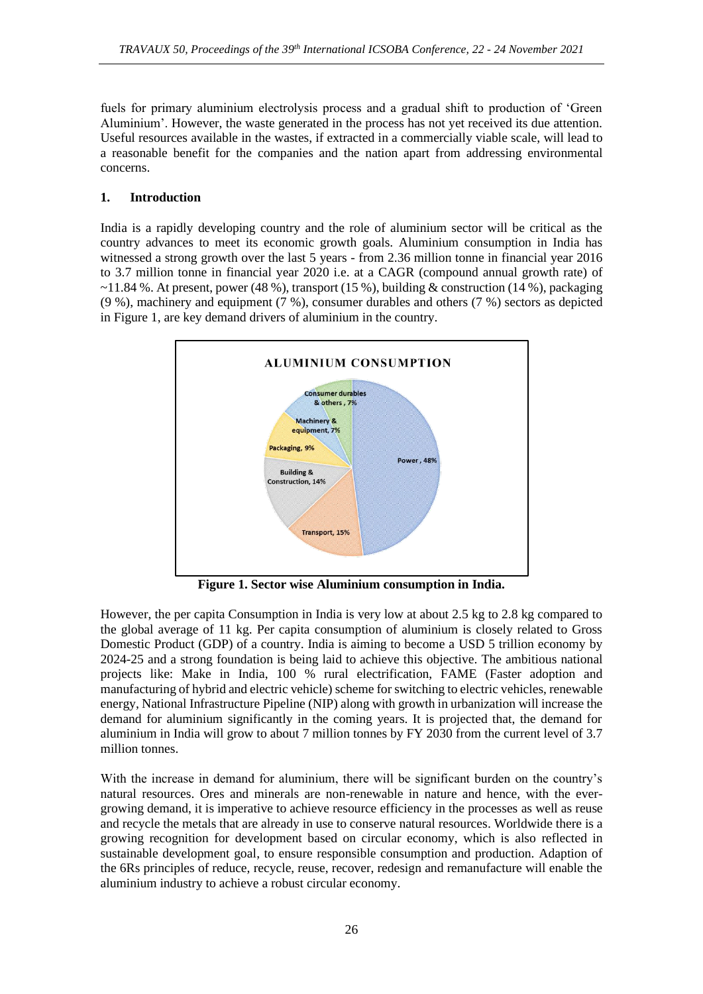fuels for primary aluminium electrolysis process and a gradual shift to production of 'Green Aluminium'. However, the waste generated in the process has not yet received its due attention. Useful resources available in the wastes, if extracted in a commercially viable scale, will lead to a reasonable benefit for the companies and the nation apart from addressing environmental concerns.

## **1. Introduction**

India is a rapidly developing country and the role of aluminium sector will be critical as the country advances to meet its economic growth goals. Aluminium consumption in India has witnessed a strong growth over the last 5 years - from 2.36 million tonne in financial year 2016 to 3.7 million tonne in financial year 2020 i.e. at a CAGR (compound annual growth rate) of  $\sim$ 11.84 %. At present, power (48 %), transport (15 %), building & construction (14 %), packaging (9 %), machinery and equipment (7 %), consumer durables and others (7 %) sectors as depicted in Figure 1, are key demand drivers of aluminium in the country.



**Figure 1. Sector wise Aluminium consumption in India.**

However, the per capita Consumption in India is very low at about 2.5 kg to 2.8 kg compared to the global average of 11 kg. Per capita consumption of aluminium is closely related to Gross Domestic Product (GDP) of a country. India is aiming to become a USD 5 trillion economy by 2024-25 and a strong foundation is being laid to achieve this objective. The ambitious national projects like: Make in India, 100 % rural electrification, FAME (Faster adoption and manufacturing of hybrid and electric vehicle) scheme for switching to electric vehicles, renewable energy, National Infrastructure Pipeline (NIP) along with growth in urbanization will increase the demand for aluminium significantly in the coming years. It is projected that, the demand for aluminium in India will grow to about 7 million tonnes by FY 2030 from the current level of 3.7 million tonnes.

With the increase in demand for aluminium, there will be significant burden on the country's natural resources. Ores and minerals are non-renewable in nature and hence, with the evergrowing demand, it is imperative to achieve resource efficiency in the processes as well as reuse and recycle the metals that are already in use to conserve natural resources. Worldwide there is a growing recognition for development based on circular economy, which is also reflected in sustainable development goal, to ensure responsible consumption and production. Adaption of the 6Rs principles of reduce, recycle, reuse, recover, redesign and remanufacture will enable the aluminium industry to achieve a robust circular economy.